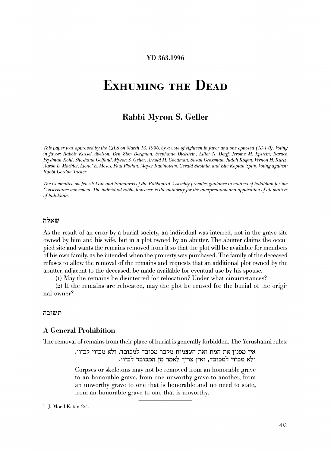#### YD 363.1996

# **ExHUMING THE DEAD**

# **Rabbi** Myron S. Geller

*This paper was approved by the C.JLS on March 13, 1996, by a vote of eighteen in favor and one opposed (18-1-0). Voting in favor: Rabbis Kassel Åbelson, Ben Zion Bergman, Stephanie Dickstein, Elliot N. Dorff, Jerome M. Epstein, Baruch Prydman-Kohl, Shoshana Gelfiwd, Myron S. Geller, Arnold M. Goodman, Su.san Grossman, .Judah Kogcn, Tieman H. Kurtz, Aaron* L. *Mackler, Lionel L". 1\lose.s, Paul Plotkin, !llrtyer Rabinowitz, Gerald Skolnik, unrl L"lie Kaplan Spitz.* ~{Jl:ing *against: Rabbi Gordon 1lrcker.* 

*1he Committee on Jewish Law and Standards of the Rabbinical Assembly provides guidance in matters of halakhah for the Conservative movement. The individual rabbi, however, is the authority for the interpretation and application of all matters of halakhah.* 

#### שאלה

As the result of an error by a burial society, an individual was interred, not in the grave site owned by him and his wife, but in a plot owned by an abutter. The abutter claims the occupied site and wants the remains removed from it so that the plot will be available for members of his own family, as he intended when the property was purchased. The family of the deceased refuses to allow the removal of the remains and requests that an additional plot owned by the abutter, adjacent to the deceased, be made available for eventual use by his spouse.

(1) May the remains be disinterred for relocation? Under what circumstances?

(2) If the remains are relocated, may the plot be reused for the burial of the original owner?

#### תשובה

#### A General Prohibition

The removal of remains from their place of burial is generally forbidden. The Yerushalmi rules:

אין מפנין את המת ואת העצמות מקבר מכובד למכובד, ולא מבזוי לבזוי, ולא מבזוי למכובד, ואין צריך לאמר מן המכובד לבזוי.

Corpses or skeletons may not be removed from an honorable grave to an honorable grave, from one unworthy grave to another, from an unworthy grave to one that is honorable and no need to state, from an honorable grave to one that is unworthy.<sup>1</sup>

 $1$  J. Moed Katan 2:4.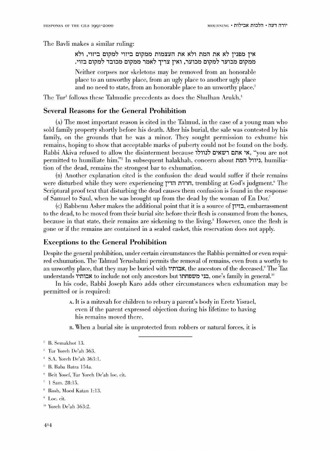The Bavli makes a similar ruling:

איז מפניז לא את המת ולא את העצמות ממקום ביזוי למקום ביזוי, ולא ממקום מכוער למקום מכוער, ואין צריך לאמר ממקום מכובד למקום בזוי.

Neither corpses nor skeletons may be removed from an honorable place to an unworthy place, from an ugly place to another ugly place and no need to state, from an honorable place to an unworthy place.'

The Tur<sup>3</sup> follows these Talmudic precedents as does the Shulhan Arukh.<sup>4</sup>

# Several Reasons for the General Prohibition

 $(A)$  The most important reason is cited in the Talmud, in the case of a young man who sold family property shortly before his death. Mter his burial, the sale was contested by his family, on the grounds that he was a minor. They sought permission to exhume his remains, hoping to show that acceptable marks of puberty could not be found on the body. Rabbi Akiva refused to allow the disinterment because ועולו אי אתם רשאים \*, "you are not permitted to humiliate him."<sup>5</sup> In subsequent halakhah, concern about ניוול המת, humiliation of the dead, remains the strongest bar to exhumation.

(B) Another explanation cited is the confusion the dead would suffer if their remains were disturbed while they were experiencing  $n \tau$ Tra  $n \tau$ itrembling at God's judgment.<sup>6</sup> The Scriptural proof text that disturbing the dead causes them confusion is found in the response of Samuel to Saul, when he was brought up from the dead by the woman of En Dor.'

(c) Rabbenu Asher makes the additional point that it is a source of 11'T:::l, embarrassment to the dead, to be moved from their burial site before their flesh is consumed from the bones, because in that state, their remains are sickening to the living.<sup>8</sup> However, once the flesh is gone or if the remains are contained in a sealed casket, this reservation does not apply.

#### Exceptions to the General Prohibition

Despite the general prohibition, under certain circumstances the Rabbis permitted or even required exhumation. The Talmud Yerushalmi permits the removal of remains, even from a worthy to an unworthy place, that they may be buried with  $\lambda$ אבותי; the ancestors of the deceased." The Taz understands ובותיו to include not only ancestors but בני משפחתו, one's family in general.<sup>10</sup>

In his code, Rabbi Joseph Karo adds other circumstances when exhumation may be permitted or is required:

- A. It is a mitzvah for children to rebury a parent's body in Eretz Yisrael, even if the parent expressed objection during his lifetime to having his remains moved there.
- B. When a burial site is unprotected from robbers or natural forces, it is

- $*$  S.A. Yoreh De'ah 363:1.
- <sup>5</sup> B. Baba Batra 154a.
- <sup>6</sup> Beit Yosef, Tur Yoreh De'ah loc. cit.
- $1$  Sam. 28:15.
- <sup>8</sup> Rosh, Moed Katan 1:13.
- 9 Loe. cit.
- $"$  Yoreh De'ah 363:2.

 $2$  B. Semakhot 13.

<sup>&</sup>lt;sup>3</sup> Tur Yoreh De'ah 363.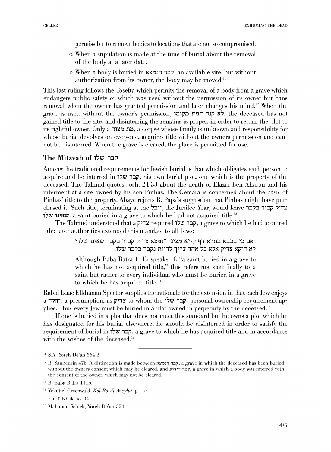permissible to remove bodies to locations that are not so compromised.

- c. When a stipulation is made at the time of burial about the removal of the body at a later date.
- D. When a body is buried in l'\~7JJi1 i:::Jj?, an available site, but without authorization from its owner, the body may be moved.<sup>11</sup>

This last ruling follows the Tosefta which permits the removal of a body from a grave which endangers public safety or which was used without the permission of its owner but bans removal when the owner has granted permission and later changes his mind.<sup>12</sup> When the grave is used without the owner's permission, לא קנה המת מקומו.  $\star$  ithe deceased has not gained title to the site, and disinterring the remains is proper, in order to return the plot to its rightful owner. Only a corpse whose family is unknown and responsibility for whose burial devolves on everyone, acquires title without the owners permission and cannot be disinterred. When the grave is cleared, the place is permitted for use.

## The Mitzvah of ,,!V **'1::1i'**

Among the traditional requirements for Jewish burial is that which obligates each person to acquire and be interred in  $\overline{z}$ , his own burial plot, one which is the property of the deceased. The Talmud quotes Josh. 24:33 about the death of Elazar ben Aharon and his interment at a site owned by his son Pinhas. The Gemara is concerned about the basis of Pinhas' title to the property. Abaye rejects R. Papa's suggestion that Pinhas might have purchased it. Such title, terminating at the 7:1:: יובל, the Jubilee Year, would leave צדיק קבור בקבר שאינו שלו $\nu$ , a saint buried in a grave to which he had not acquired title.<sup>13</sup>

The Talmud understood that a קבר שלו required 17tre 17to is: הבר שלו title; later authorities extended this mandate to all Jews:

> "ואם כי בבבא בתרא דף קי"א מצינו "נמצא צדיק קבור בקבר שאינו שלו לא דוקא צדיק אלא כל אחד צריך להיות נקבר בקבר שלו.

> Although Baba Batra lllb speaks of, "a saint buried in a grave to which he has not acquired title," this refers not specifically to a saint but rather to every individual who must be buried in a grave to which he has acquired title.''

Rabbi lsaac Elkhanan Spector supplies the rationale for the extension in that each Jew enjoys a interstappromument are קבר שלו, personal ownership requirement applies. Thus every Jew must be buried in a plot owned in perpetuity by the deceased.<sup>15</sup>

If one is buried in a plot that does not meet this standard but he owns a plot which he has designated for his burial elsewhere, he should be disinterred in order to satisfy the requirement of burial in 17th is a cave to which he has acquired title and in accordance with the wishes of the deceased.<sup>16</sup>

 $\,$ <sup>u</sup> S.A. Yoreh De'ah 364:2.

<sup>&</sup>lt;sup>12</sup> B. Sanhedrin 47b. A distinction is made between הבר הנמצא, a grave in which the deceased has been buried without the owners consent which may be cleared, and הבר הידוע, a grave in which a body was interred with the consent of the owner, which may not be cleared.

<sup>&</sup>lt;sup>13</sup> B. Baba Batra 111b.

<sup>&</sup>lt;sup>14</sup> Yekutiel Greenwald, *Kol Bo Al Aveylut*, p. 174.

<sup>15</sup> Ein Yitzhak no. 34.

<sup>&</sup>lt;sup>16</sup> Maharam Schick, Yoreh De'ah 354.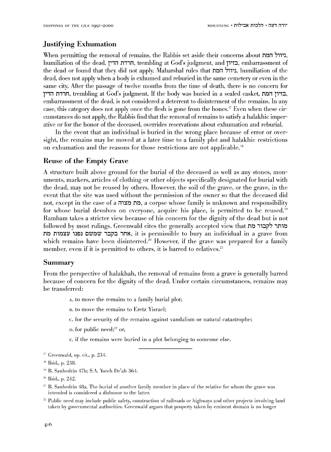# .Justifying Exhumation

When permitting the removal of remains, the Rabbis set aside their concerns about " humiliation of the dead, הדרה הדין, trembling at God's judgment, and בזיון, embarrassment of the dead or found that they did not apply. Maharshal rules that היוול המת dead, does not apply when a body is exhumed and reburied in the same cemetery or even in the same city. After the passage of twelve months from the time of death, there is no concern for pii1 T'liin, trembling at God's judgment. H the body was buried in a sealed casket, n~i1 P'T:J, embarrassment of the dead, is not considered a deterrent to disinterment of the remains. In any case, this category does not apply once the flesh is gone from the bones.<sup>17</sup> Even when these circumstances do not apply, the Rabbis find that the removal of remains to satisfy a halakhic imperative or for the honor of the deceased, ovenides reservations about exhumation and reburial.

In the event that an individual is buried in the wrong place because of error or oversight, the remains may be moved at a later time to a family plot and halakhic restrictions on exhumation and the reasons for those restrictions are not applicable. <sup>18</sup>

## Reuse of the Empty Grave

A structure built above ground for the burial of the deceased as well as any stones, monuments, markers, articles of clothing or other objects specifically designated for burial with the dead, may not be reused by others. However, the soil of the grave, or the grave, in the event that the site was used without the permission of the owner so that the deceased did not, except in the case of a מת מצוה, a corpse whose family is unknown and responsibility for whose burial devolves on everyone, acquire his place, is permitted to be reused." Rambam takes a stricter view because of his concern for the dignity of the dead but is not followed by most rulings. Greenwald cites the generally accepted view that היתר לקבור מת אחר בקבר שמשם נפנו עצמות מת, it is permissible to bury an individual in a grave from which remains have been disinterred.<sup>20</sup> However, if the grave was prepared for a family member, even if it is permitted to others, it is barred to relatives.<sup>21</sup>

#### Summary

From the perspective of halakhah, the removal of remains from a grave is generally barred because of concern for the dignity of the dead. Under certain circumstances, remains may be transferred:

- A. to move the remains to a family burial plot;
- n. to move the remains to Eretz Yisrael;
- c. for the security of the remains against vandalism or natural catastrophe;
- $D$ . for public need;<sup>22</sup> or,
- E. if the remains were buried in a plot belonging to someone else.

- <sup>19</sup> B. Sanhedrin 47b; S.A. Yoreh De'ah 364.
- <sup>20</sup> Ibid., p. 242.
- $21$  B. Sanhedrin 48a. The burial of another family member in place of the relative for whom the grave was intended is considered a dishonor to the latter.
- <sup>22</sup> Public need may include public safety, construction of railroads or highways and other projects involving land taken hy goverrnnental authorities. Greenwald argues that property taken hy erninent dmnain is no longer

<sup>17</sup> Greenwald, op. cit., p. 234.

<sup>&</sup>lt;sup>18</sup> Ibid., p. 238.